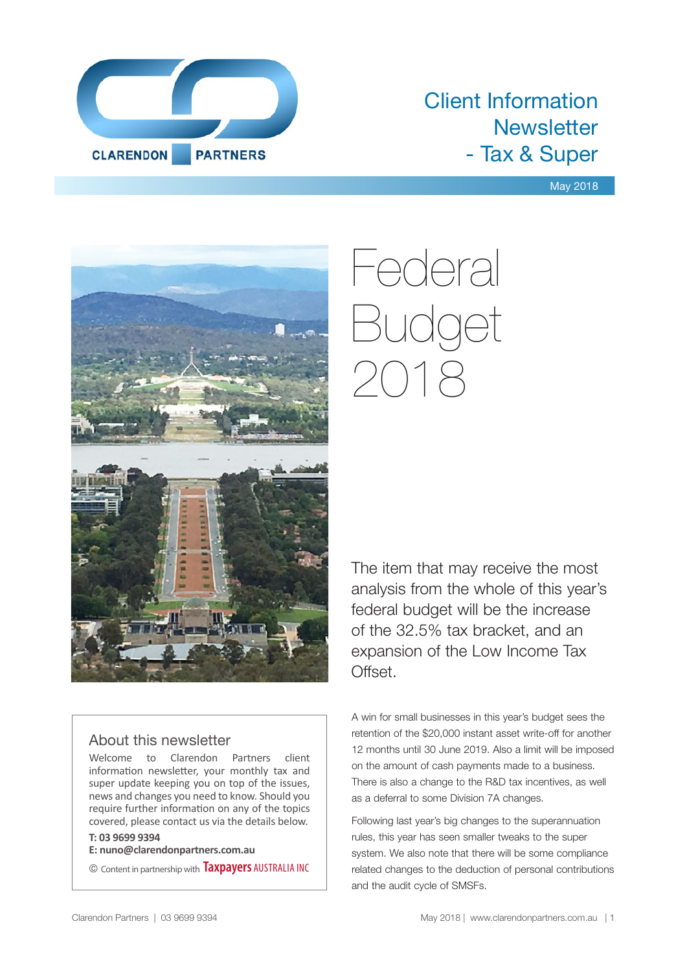

### Client Information **Newsletter** - Tax & Super

#### May 2018



# Federal Budget 2018

The item that may receive the most analysis from the whole of this year's federal budget will be the increase of the 32.5% tax bracket, and an expansion of the Low Income Tax Offset.

#### About this newsletter

Welcome to Clarendon Partners client information newsletter, your monthly tax and super update keeping you on top of the issues, news and changes you need to know. Should you require further information on any of the topics covered, please contact us via the details below.

#### **T: 03 9699 9394**

**E: nuno@clarendonpartners.com.au**

© Content in partnership with **Taxpayers** AUSTRALIA INC

A win for small businesses in this year's budget sees the retention of the \$20,000 instant asset write-off for another 12 months until 30 June 2019. Also a limit will be imposed on the amount of cash payments made to a business. There is also a change to the R&D tax incentives, as well as a deferral to some Division 7A changes.

Following last year's big changes to the superannuation rules, this year has seen smaller tweaks to the super system. We also note that there will be some compliance related changes to the deduction of personal contributions and the audit cycle of SMSFs.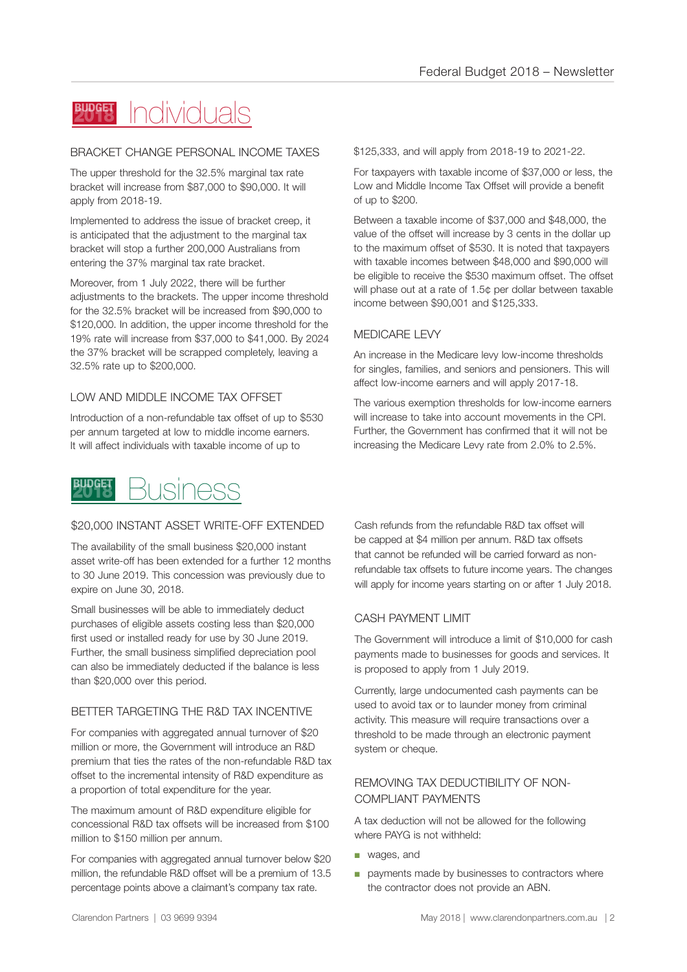#### Individuals **BUDGET**

#### BRACKET CHANGE PERSONAL INCOME TAXES

The upper threshold for the 32.5% marginal tax rate bracket will increase from \$87,000 to \$90,000. It will apply from 2018-19.

Implemented to address the issue of bracket creep, it is anticipated that the adjustment to the marginal tax bracket will stop a further 200,000 Australians from entering the 37% marginal tax rate bracket.

Moreover, from 1 July 2022, there will be further adjustments to the brackets. The upper income threshold for the 32.5% bracket will be increased from \$90,000 to \$120,000. In addition, the upper income threshold for the 19% rate will increase from \$37,000 to \$41,000. By 2024 the 37% bracket will be scrapped completely, leaving a 32.5% rate up to \$200,000.

#### LOW AND MIDDLE INCOME TAX OFFSET

Introduction of a non-refundable tax offset of up to \$530 per annum targeted at low to middle income earners. It will affect individuals with taxable income of up to



#### \$20,000 INSTANT ASSET WRITE-OFF EXTENDED

The availability of the small business \$20,000 instant asset write-off has been extended for a further 12 months to 30 June 2019. This concession was previously due to expire on June 30, 2018.

Small businesses will be able to immediately deduct purchases of eligible assets costing less than \$20,000 first used or installed ready for use by 30 June 2019. Further, the small business simplified depreciation pool can also be immediately deducted if the balance is less than \$20,000 over this period.

#### BETTER TARGETING THE R&D TAX INCENTIVE

For companies with aggregated annual turnover of \$20 million or more, the Government will introduce an R&D premium that ties the rates of the non-refundable R&D tax offset to the incremental intensity of R&D expenditure as a proportion of total expenditure for the year.

The maximum amount of R&D expenditure eligible for concessional R&D tax offsets will be increased from \$100 million to \$150 million per annum.

For companies with aggregated annual turnover below \$20 million, the refundable R&D offset will be a premium of 13.5 percentage points above a claimant's company tax rate.

\$125,333, and will apply from 2018-19 to 2021-22.

For taxpayers with taxable income of \$37,000 or less, the Low and Middle Income Tax Offset will provide a benefit of up to \$200.

Between a taxable income of \$37,000 and \$48,000, the value of the offset will increase by 3 cents in the dollar up to the maximum offset of \$530. It is noted that taxpayers with taxable incomes between \$48,000 and \$90,000 will be eligible to receive the \$530 maximum offset. The offset will phase out at a rate of 1.5¢ per dollar between taxable income between \$90,001 and \$125,333.

#### MEDICARE LEVY

An increase in the Medicare levy low-income thresholds for singles, families, and seniors and pensioners. This will affect low-income earners and will apply 2017-18.

The various exemption thresholds for low-income earners will increase to take into account movements in the CPI. Further, the Government has confirmed that it will not be increasing the Medicare Levy rate from 2.0% to 2.5%.

Cash refunds from the refundable R&D tax offset will be capped at \$4 million per annum. R&D tax offsets that cannot be refunded will be carried forward as nonrefundable tax offsets to future income years. The changes will apply for income years starting on or after 1 July 2018.

#### CASH PAYMENT LIMIT

The Government will introduce a limit of \$10,000 for cash payments made to businesses for goods and services. It is proposed to apply from 1 July 2019.

Currently, large undocumented cash payments can be used to avoid tax or to launder money from criminal activity. This measure will require transactions over a threshold to be made through an electronic payment system or cheque.

#### REMOVING TAX DEDUCTIBILITY OF NON-COMPLIANT PAYMENTS

A tax deduction will not be allowed for the following where PAYG is not withheld:

- wages, and
- payments made by businesses to contractors where the contractor does not provide an ABN.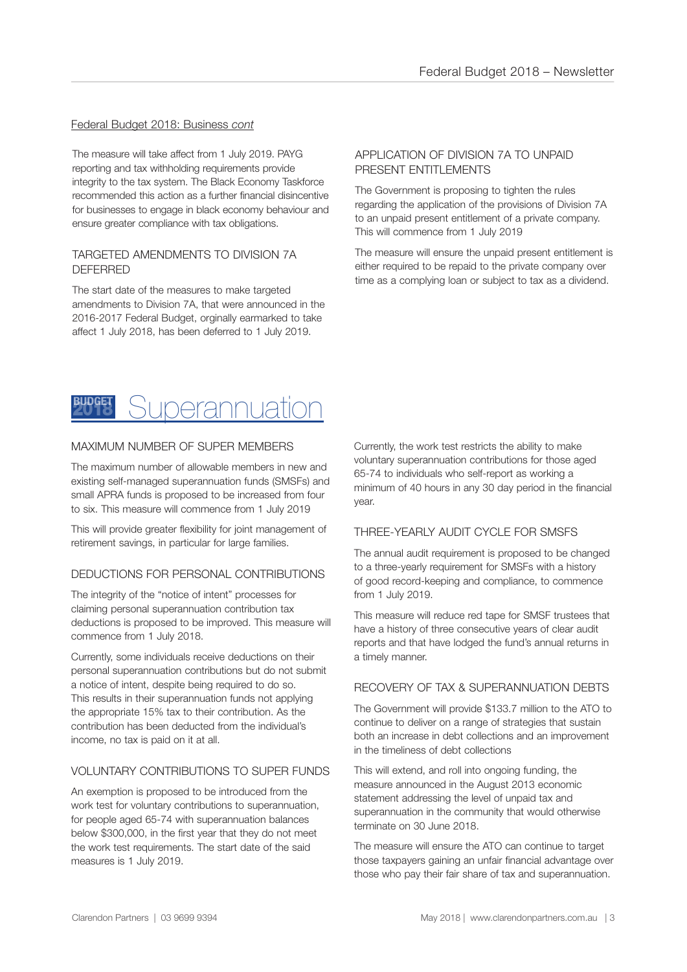#### Federal Budget 2018: Business *cont*

The measure will take affect from 1 July 2019. PAYG reporting and tax withholding requirements provide integrity to the tax system. The Black Economy Taskforce recommended this action as a further financial disincentive for businesses to engage in black economy behaviour and ensure greater compliance with tax obligations.

#### TARGETED AMENDMENTS TO DIVISION 7A DEFERRED

The start date of the measures to make targeted amendments to Division 7A, that were announced in the 2016-2017 Federal Budget, orginally earmarked to take affect 1 July 2018, has been deferred to 1 July 2019.

#### APPLICATION OF DIVISION 7A TO UNPAID PRESENT ENTITLEMENTS

The Government is proposing to tighten the rules regarding the application of the provisions of Division 7A to an unpaid present entitlement of a private company. This will commence from 1 July 2019

The measure will ensure the unpaid present entitlement is either required to be repaid to the private company over time as a complying loan or subject to tax as a dividend.



#### MAXIMUM NUMBER OF SUPER MEMBERS

The maximum number of allowable members in new and existing self-managed superannuation funds (SMSFs) and small APRA funds is proposed to be increased from four to six. This measure will commence from 1 July 2019

This will provide greater flexibility for joint management of retirement savings, in particular for large families.

#### DEDUCTIONS FOR PERSONAL CONTRIBUTIONS

The integrity of the "notice of intent" processes for claiming personal superannuation contribution tax deductions is proposed to be improved. This measure will commence from 1 July 2018.

Currently, some individuals receive deductions on their personal superannuation contributions but do not submit a notice of intent, despite being required to do so. This results in their superannuation funds not applying the appropriate 15% tax to their contribution. As the contribution has been deducted from the individual's income, no tax is paid on it at all.

#### VOLUNTARY CONTRIBUTIONS TO SUPER FUNDS

An exemption is proposed to be introduced from the work test for voluntary contributions to superannuation, for people aged 65-74 with superannuation balances below \$300,000, in the first year that they do not meet the work test requirements. The start date of the said measures is 1 July 2019.

Currently, the work test restricts the ability to make voluntary superannuation contributions for those aged 65-74 to individuals who self-report as working a minimum of 40 hours in any 30 day period in the financial year.

#### THREE-YEARLY AUDIT CYCLE FOR SMSFS

The annual audit requirement is proposed to be changed to a three-yearly requirement for SMSFs with a history of good record-keeping and compliance, to commence from 1 July 2019.

This measure will reduce red tape for SMSF trustees that have a history of three consecutive years of clear audit reports and that have lodged the fund's annual returns in a timely manner.

#### RECOVERY OF TAX & SUPERANNUATION DEBTS

The Government will provide \$133.7 million to the ATO to continue to deliver on a range of strategies that sustain both an increase in debt collections and an improvement in the timeliness of debt collections

This will extend, and roll into ongoing funding, the measure announced in the August 2013 economic statement addressing the level of unpaid tax and superannuation in the community that would otherwise terminate on 30 June 2018.

The measure will ensure the ATO can continue to target those taxpayers gaining an unfair financial advantage over those who pay their fair share of tax and superannuation.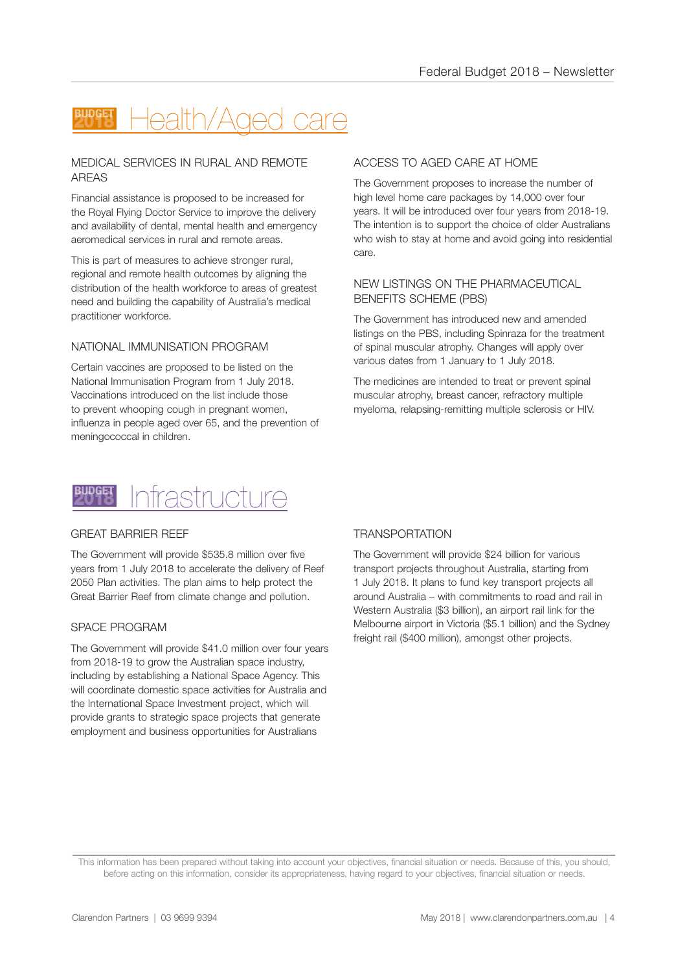## Health/Aged care

#### MEDICAL SERVICES IN RURAL AND REMOTE AREAS

Financial assistance is proposed to be increased for the Royal Flying Doctor Service to improve the delivery and availability of dental, mental health and emergency aeromedical services in rural and remote areas.

This is part of measures to achieve stronger rural, regional and remote health outcomes by aligning the distribution of the health workforce to areas of greatest need and building the capability of Australia's medical practitioner workforce.

#### NATIONAL IMMUNISATION PROGRAM

Certain vaccines are proposed to be listed on the National Immunisation Program from 1 July 2018. Vaccinations introduced on the list include those to prevent whooping cough in pregnant women, influenza in people aged over 65, and the prevention of meningococcal in children.

#### ACCESS TO AGED CARE AT HOME

The Government proposes to increase the number of high level home care packages by 14,000 over four years. It will be introduced over four years from 2018-19. The intention is to support the choice of older Australians who wish to stay at home and avoid going into residential care.

#### NEW LISTINGS ON THE PHARMACEUTICAL BENEFITS SCHEME (PBS)

The Government has introduced new and amended listings on the PBS, including Spinraza for the treatment of spinal muscular atrophy. Changes will apply over various dates from 1 January to 1 July 2018.

The medicines are intended to treat or prevent spinal muscular atrophy, breast cancer, refractory multiple myeloma, relapsing-remitting multiple sclerosis or HIV.



#### GREAT BARRIER REEF

The Government will provide \$535.8 million over five years from 1 July 2018 to accelerate the delivery of Reef 2050 Plan activities. The plan aims to help protect the Great Barrier Reef from climate change and pollution.

#### SPACE PROGRAM

The Government will provide \$41.0 million over four years from 2018-19 to grow the Australian space industry, including by establishing a National Space Agency. This will coordinate domestic space activities for Australia and the International Space Investment project, which will provide grants to strategic space projects that generate employment and business opportunities for Australians

#### **TRANSPORTATION**

The Government will provide \$24 billion for various transport projects throughout Australia, starting from 1 July 2018. It plans to fund key transport projects all around Australia – with commitments to road and rail in Western Australia (\$3 billion), an airport rail link for the Melbourne airport in Victoria (\$5.1 billion) and the Sydney freight rail (\$400 million), amongst other projects.

This information has been prepared without taking into account your objectives, financial situation or needs. Because of this, you should, before acting on this information, consider its appropriateness, having regard to your objectives, financial situation or needs.